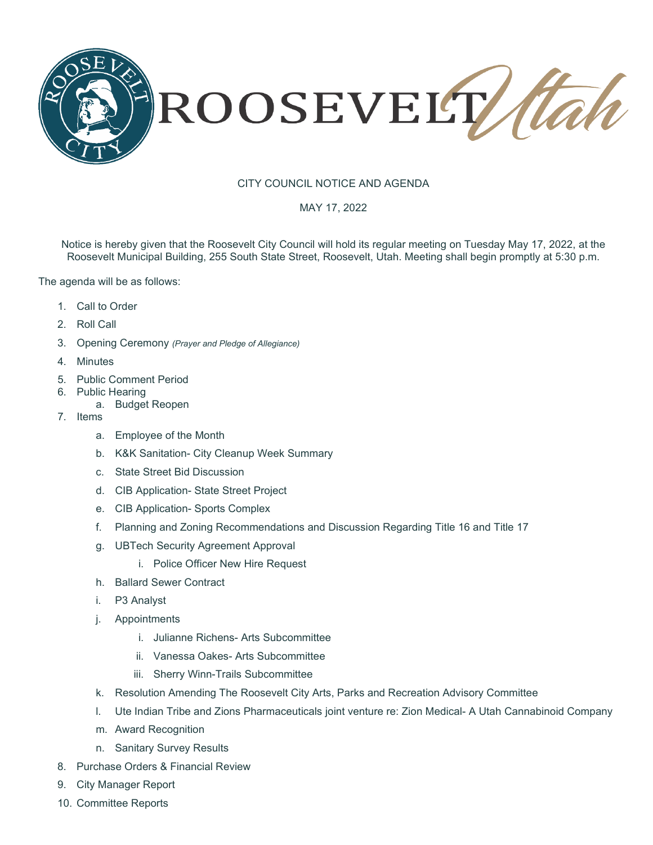

## CITY COUNCIL NOTICE AND AGENDA

## MAY 17, 2022

Notice is hereby given that the Roosevelt City Council will hold its regular meeting on Tuesday May 17, 2022, at the Roosevelt Municipal Building, 255 South State Street, Roosevelt, Utah. Meeting shall begin promptly at 5:30 p.m.

The agenda will be as follows:

- 1. Call to Order
- 2. Roll Call
- 3. Opening Ceremony *(Prayer and Pledge of Allegiance)*
- 4. Minutes
- 5. Public Comment Period
- 6. Public Hearing
	- a. Budget Reopen
- 7. Items
	- a. Employee of the Month
	- b. K&K Sanitation- City Cleanup Week Summary
	- c. State Street Bid Discussion
	- d. CIB Application- State Street Project
	- e. CIB Application- Sports Complex
	- f. Planning and Zoning Recommendations and Discussion Regarding Title 16 and Title 17
	- g. UBTech Security Agreement Approval
		- i. Police Officer New Hire Request
	- h. Ballard Sewer Contract
	- i. P3 Analyst
	- j. Appointments
		- i. Julianne Richens- Arts Subcommittee
		- ii. Vanessa Oakes- Arts Subcommittee
		- iii. Sherry Winn-Trails Subcommittee
	- k. Resolution Amending The Roosevelt City Arts, Parks and Recreation Advisory Committee
	- l. Ute Indian Tribe and Zions Pharmaceuticals joint venture re: Zion Medical- A Utah Cannabinoid Company
	- m. Award Recognition
	- n. Sanitary Survey Results
- 8. Purchase Orders & Financial Review
- 9. City Manager Report
- 10. Committee Reports